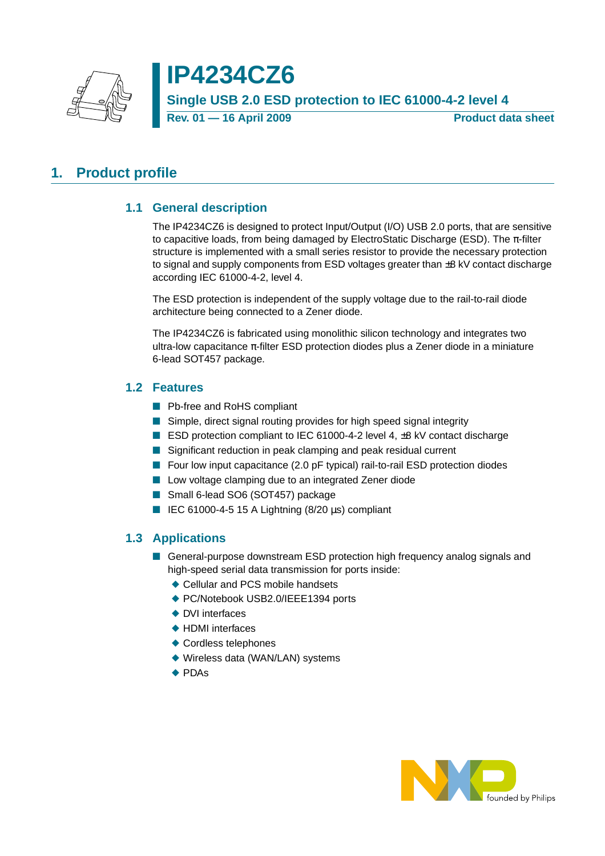

# **IP4234CZ6 Single USB 2.0 ESD protection to IEC 61000-4-2 level 4 Rev. 01 – 16 April 2009** Product data sheet

# <span id="page-0-1"></span><span id="page-0-0"></span>**1. Product profile**

### **1.1 General description**

The IP4234CZ6 is designed to protect Input/Output (I/O) USB 2.0 ports, that are sensitive to capacitive loads, from being damaged by ElectroStatic Discharge (ESD). The  $\pi$ -filter structure is implemented with a small series resistor to provide the necessary protection to signal and supply components from ESD voltages greater than  $\pm 8$  kV contact discharge according IEC 61000-4-2, level 4.

The ESD protection is independent of the supply voltage due to the rail-to-rail diode architecture being connected to a Zener diode.

The IP4234CZ6 is fabricated using monolithic silicon technology and integrates two ultra-low capacitance  $π$ -filter ESD protection diodes plus a Zener diode in a miniature 6-lead SOT457 package.

#### <span id="page-0-2"></span>**1.2 Features**

- Pb-free and RoHS compliant
- Simple, direct signal routing provides for high speed signal integrity
- ESD protection compliant to IEC 61000-4-2 level 4, ±8 kV contact discharge
- Significant reduction in peak clamping and peak residual current
- Four low input capacitance (2.0 pF typical) rail-to-rail ESD protection diodes
- Low voltage clamping due to an integrated Zener diode
- Small 6-lead SO6 (SOT457) package
- IEC 61000-4-5 15 A Lightning  $(8/20 \mu s)$  compliant

### <span id="page-0-3"></span>**1.3 Applications**

- General-purpose downstream ESD protection high frequency analog signals and high-speed serial data transmission for ports inside:
	- ◆ Cellular and PCS mobile handsets
	- ◆ PC/Notebook USB2.0/IEEE1394 ports
	- ◆ DVI interfaces
	- ◆ HDMI interfaces
	- ◆ Cordless telephones
	- ◆ Wireless data (WAN/LAN) systems
	- ◆ PDAs

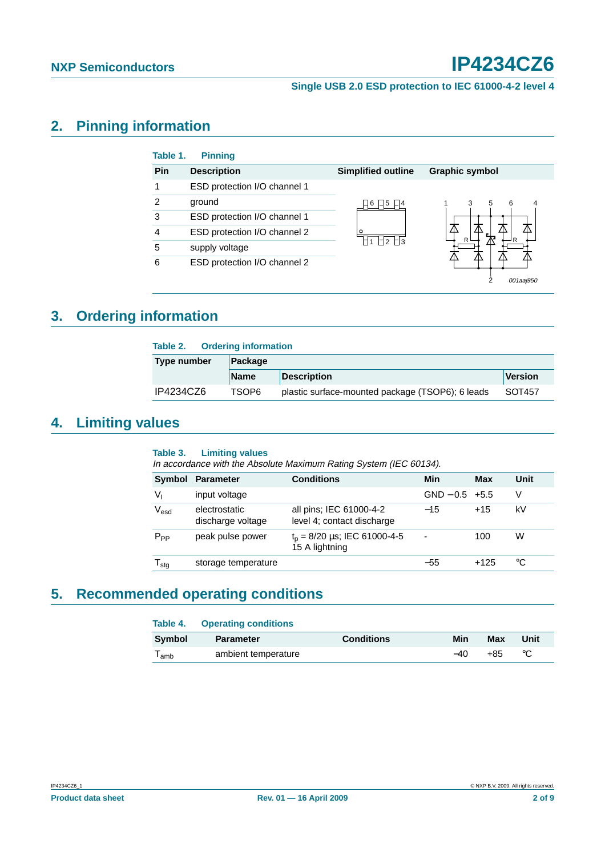#### **Single USB 2.0 ESD protection to IEC 61000-4-2 level 4**

# <span id="page-1-0"></span>**2. Pinning information**

| Table 1.      | <b>Pinning</b>               |                                                                     |                       |
|---------------|------------------------------|---------------------------------------------------------------------|-----------------------|
| Pin           | <b>Description</b>           | <b>Simplified outline</b>                                           | <b>Graphic symbol</b> |
|               | ESD protection I/O channel 1 |                                                                     |                       |
| $\mathcal{P}$ | ground                       | ⊥I6 I⊥I5<br>$ $ - $ $ 4<br>∩<br>$\Box$ 2 $\Box$ 3<br>$\overline{ }$ | 3<br>6<br>5<br>4      |
| 3             | ESD protection I/O channel 1 |                                                                     |                       |
|               | ESD protection I/O channel 2 |                                                                     | R<br>ה                |
| 5             | supply voltage               |                                                                     |                       |
| 6             | ESD protection I/O channel 2 |                                                                     | 001aaj950             |

# <span id="page-1-1"></span>**3. Ordering information**

| <b>Ordering information</b><br>Table 2. |             |                                                  |         |  |
|-----------------------------------------|-------------|--------------------------------------------------|---------|--|
| <b>Type number</b>                      | Package     |                                                  |         |  |
|                                         | <b>Name</b> | <b>Description</b>                               | Version |  |
| IP4234CZ6                               | TSOP6       | plastic surface-mounted package (TSOP6); 6 leads | SOT457  |  |

# <span id="page-1-2"></span>**4. Limiting values**

#### **Table 3. Limiting values**

In accordance with the Absolute Maximum Rating System (IEC 60134).

| Symbol                       | <b>Parameter</b>                   | <b>Conditions</b>                                                  | Min                      | Max    | Unit |
|------------------------------|------------------------------------|--------------------------------------------------------------------|--------------------------|--------|------|
| Vı                           | input voltage                      |                                                                    | $GND - 0.5 + 5.5$        |        | V    |
| $\mathsf{V}_{\mathsf{esd}}$  | electrostatic<br>discharge voltage | all pins; IEC 61000-4-2<br>level 4; contact discharge              | $-15$                    | $+15$  | kV   |
| $P_{PP}$                     | peak pulse power                   | $t_p = 8/20 \text{ }\mu\text{s}$ ; IEC 61000-4-5<br>15 A lightning | $\overline{\phantom{0}}$ | 100    | W    |
| ${\mathsf T}_{\textsf{stg}}$ | storage temperature                |                                                                    | $-55$                    | $+125$ | °C   |

# <span id="page-1-3"></span>**5. Recommended operating conditions**

|                             | <b>Table 4. Operating conditions</b> |                   |       |     |      |
|-----------------------------|--------------------------------------|-------------------|-------|-----|------|
| Svmbol                      | <b>Parameter</b>                     | <b>Conditions</b> | Min   | Max | Unit |
| $\mathsf{T}_{\mathsf{amb}}$ | ambient temperature                  |                   | $-40$ | +85 | °C   |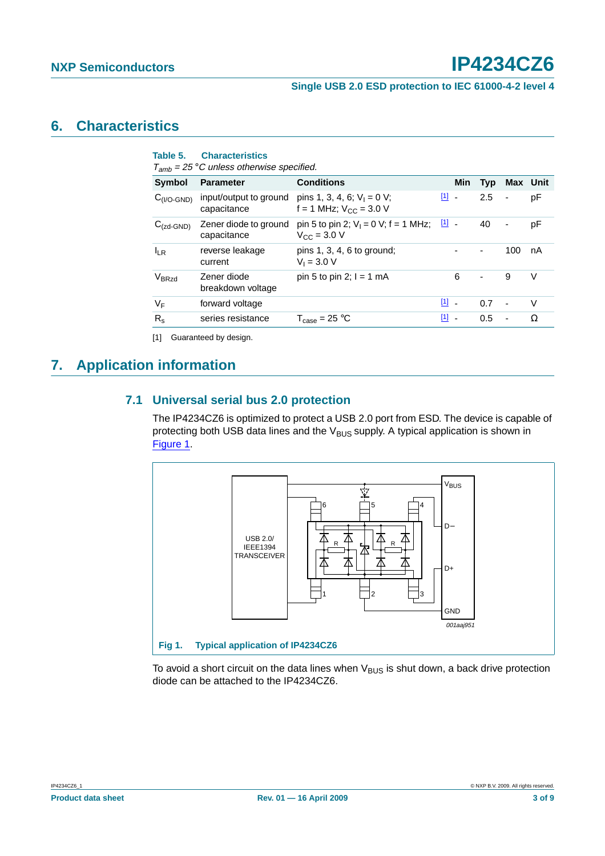#### **Single USB 2.0 ESD protection to IEC 61000-4-2 level 4**

### <span id="page-2-2"></span>**6. Characteristics**

| Table 5.               | <b>Characteristics</b><br>$T_{amb}$ = 25 °C unless otherwise specified. |                                                                                     |               |                |                |                              |        |
|------------------------|-------------------------------------------------------------------------|-------------------------------------------------------------------------------------|---------------|----------------|----------------|------------------------------|--------|
| <b>Symbol</b>          | <b>Parameter</b>                                                        | <b>Conditions</b>                                                                   |               | <b>Min</b>     | Typ            | Max Unit                     |        |
| $C_{(I/O\text{-}GND)}$ | capacitance                                                             | input/output to ground pins 1, 3, 4, 6; $V_1 = 0$ V;<br>f = 1 MHz; $V_{CC}$ = 3.0 V | $\boxed{1}$ . |                | 2.5            | $\blacksquare$               | рF     |
| $C_{(zd\text{-}GND)}$  | Zener diode to ground<br>capacitance                                    | pin 5 to pin 2; $V_1 = 0$ V; f = 1 MHz; $\boxed{11}$ -<br>$V_{CC}$ = 3.0 V          |               |                | 40             | $\qquad \qquad \blacksquare$ | рF     |
| $I_{IR}$               | reverse leakage<br>current                                              | pins $1, 3, 4, 6$ to ground;<br>$V_1 = 3.0 V$                                       |               |                |                | 100                          | nA     |
| V <sub>BRzd</sub>      | Zener diode<br>breakdown voltage                                        | pin 5 to pin 2; $I = 1$ mA                                                          |               | 6              | $\blacksquare$ | 9                            | V      |
| $V_F$                  | forward voltage                                                         |                                                                                     | $[1]$         |                | 0.7            | $\sim$                       | $\vee$ |
| $R_{\rm s}$            | series resistance                                                       | $T_{\text{case}} = 25 \text{ °C}$                                                   | $[1]$         | $\blacksquare$ | 0.5            | $\blacksquare$               | Ω      |

<span id="page-2-0"></span>[1] Guaranteed by design.

# <span id="page-2-4"></span><span id="page-2-3"></span>**7. Application information**

#### **7.1 Universal serial bus 2.0 protection**

The IP4234CZ6 is optimized to protect a USB 2.0 port from ESD. The device is capable of protecting both USB data lines and the  $V_{BUS}$  supply. A typical application is shown in [Figure](#page-2-1) 1.



<span id="page-2-1"></span>To avoid a short circuit on the data lines when  $V_{\text{BUS}}$  is shut down, a back drive protection diode can be attached to the IP4234CZ6.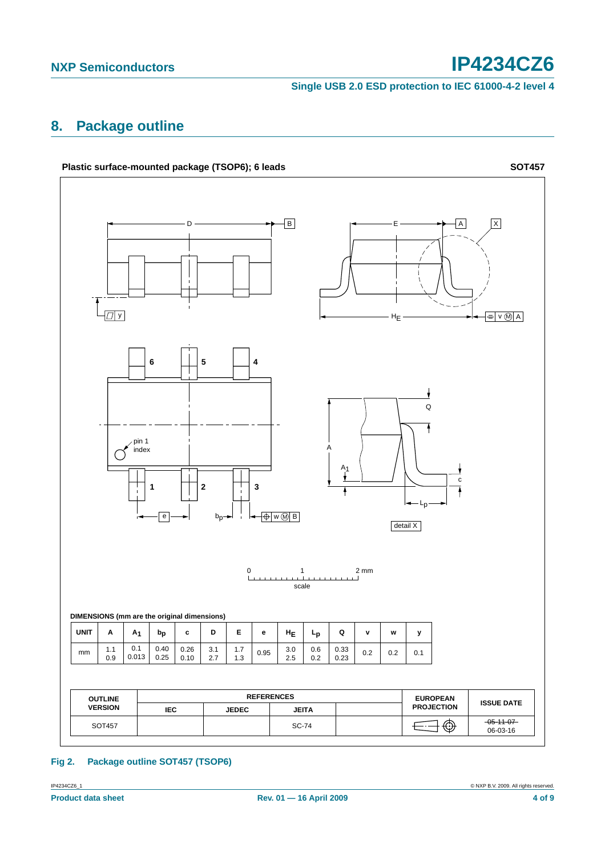**Single USB 2.0 ESD protection to IEC 61000-4-2 level 4**

# <span id="page-3-0"></span>**8. Package outline**



#### **Fig 2. Package outline SOT457 (TSOP6)**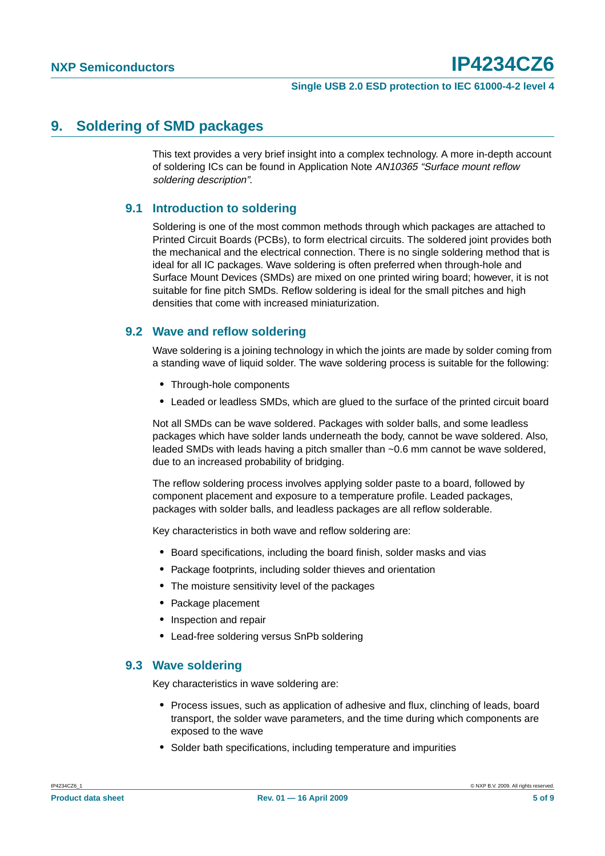## <span id="page-4-0"></span>**9. Soldering of SMD packages**

This text provides a very brief insight into a complex technology. A more in-depth account of soldering ICs can be found in Application Note AN10365 "Surface mount reflow soldering description".

#### <span id="page-4-1"></span>**9.1 Introduction to soldering**

Soldering is one of the most common methods through which packages are attached to Printed Circuit Boards (PCBs), to form electrical circuits. The soldered joint provides both the mechanical and the electrical connection. There is no single soldering method that is ideal for all IC packages. Wave soldering is often preferred when through-hole and Surface Mount Devices (SMDs) are mixed on one printed wiring board; however, it is not suitable for fine pitch SMDs. Reflow soldering is ideal for the small pitches and high densities that come with increased miniaturization.

### <span id="page-4-2"></span>**9.2 Wave and reflow soldering**

Wave soldering is a joining technology in which the joints are made by solder coming from a standing wave of liquid solder. The wave soldering process is suitable for the following:

- **•** Through-hole components
- **•** Leaded or leadless SMDs, which are glued to the surface of the printed circuit board

Not all SMDs can be wave soldered. Packages with solder balls, and some leadless packages which have solder lands underneath the body, cannot be wave soldered. Also, leaded SMDs with leads having a pitch smaller than ~0.6 mm cannot be wave soldered, due to an increased probability of bridging.

The reflow soldering process involves applying solder paste to a board, followed by component placement and exposure to a temperature profile. Leaded packages, packages with solder balls, and leadless packages are all reflow solderable.

Key characteristics in both wave and reflow soldering are:

- **•** Board specifications, including the board finish, solder masks and vias
- **•** Package footprints, including solder thieves and orientation
- **•** The moisture sensitivity level of the packages
- **•** Package placement
- **•** Inspection and repair
- **•** Lead-free soldering versus SnPb soldering

#### <span id="page-4-3"></span>**9.3 Wave soldering**

Key characteristics in wave soldering are:

- **•** Process issues, such as application of adhesive and flux, clinching of leads, board transport, the solder wave parameters, and the time during which components are exposed to the wave
- **•** Solder bath specifications, including temperature and impurities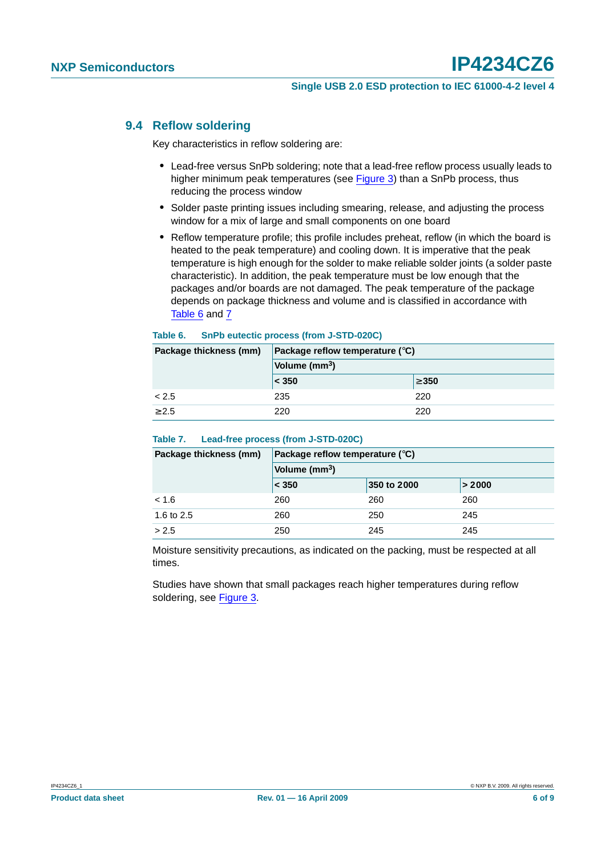#### **Single USB 2.0 ESD protection to IEC 61000-4-2 level 4**

#### <span id="page-5-0"></span>**9.4 Reflow soldering**

Key characteristics in reflow soldering are:

- **•** Lead-free versus SnPb soldering; note that a lead-free reflow process usually leads to higher minimum peak temperatures (see Figure 3) than a SnPb process, thus reducing the process window
- **•** Solder paste printing issues including smearing, release, and adjusting the process window for a mix of large and small components on one board
- **•** Reflow temperature profile; this profile includes preheat, reflow (in which the board is heated to the peak temperature) and cooling down. It is imperative that the peak temperature is high enough for the solder to make reliable solder joints (a solder paste characteristic). In addition, the peak temperature must be low enough that the packages and/or boards are not damaged. The peak temperature of the package depends on package thickness and volume and is classified in accordance with Table 6 and 7

#### **Table 6. SnPb eutectic process (from J-STD-020C)**

| Package thickness (mm) | Package reflow temperature $(^\circ \text{C})$ |            |  |
|------------------------|------------------------------------------------|------------|--|
|                        | Volume (mm <sup>3</sup> )                      |            |  |
|                        | $ <$ 350                                       | $\geq 350$ |  |
| < 2.5                  | 235                                            | 220        |  |
| > 2.5                  | 220                                            | 220        |  |

#### **Table 7. Lead-free process (from J-STD-020C)**

| Package thickness (mm) | Package reflow temperature $(^\circ \text{C})$ |             |        |  |
|------------------------|------------------------------------------------|-------------|--------|--|
|                        | Volume $(mm3)$                                 |             |        |  |
|                        | < 350                                          | 350 to 2000 | > 2000 |  |
| < 1.6                  | 260                                            | 260         | 260    |  |
| 1.6 to 2.5             | 260                                            | 250         | 245    |  |
| > 2.5                  | 250                                            | 245         | 245    |  |

Moisture sensitivity precautions, as indicated on the packing, must be respected at all times.

Studies have shown that small packages reach higher temperatures during reflow soldering, see Figure 3.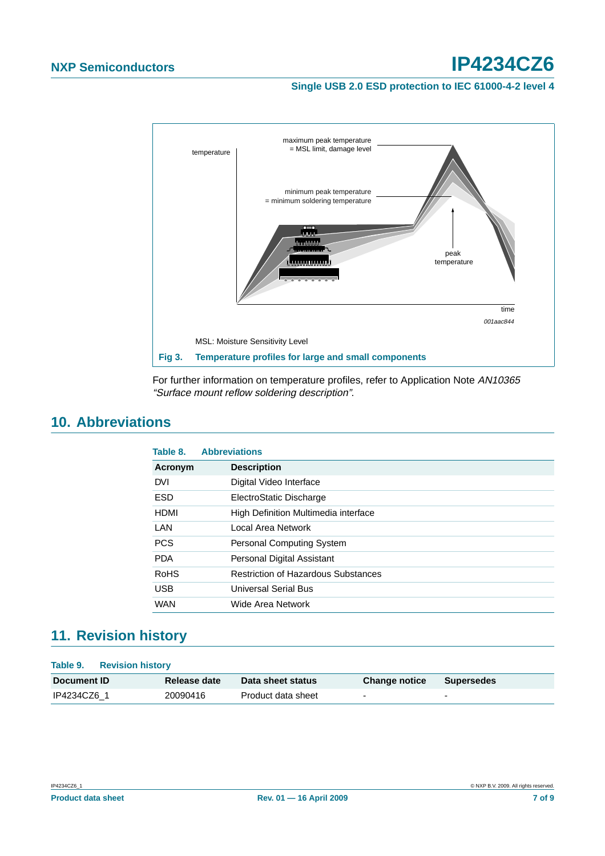#### **Single USB 2.0 ESD protection to IEC 61000-4-2 level 4**

![](_page_6_Figure_3.jpeg)

For further information on temperature profiles, refer to Application Note AN10365 "Surface mount reflow soldering description".

# <span id="page-6-0"></span>**10. Abbreviations**

| Table 8.    | <b>Abbreviations</b>                       |
|-------------|--------------------------------------------|
| Acronym     | <b>Description</b>                         |
| <b>DVI</b>  | Digital Video Interface                    |
| <b>ESD</b>  | ElectroStatic Discharge                    |
| <b>HDMI</b> | High Definition Multimedia interface       |
| LAN         | Local Area Network                         |
| <b>PCS</b>  | <b>Personal Computing System</b>           |
| <b>PDA</b>  | Personal Digital Assistant                 |
| RoHS        | <b>Restriction of Hazardous Substances</b> |
| <b>USB</b>  | Universal Serial Bus                       |
| <b>WAN</b>  | Wide Area Network                          |

# <span id="page-6-1"></span>**11. Revision history**

| Table 9.<br><b>Revision history</b> |              |                    |                      |            |
|-------------------------------------|--------------|--------------------|----------------------|------------|
| Document <b>ID</b>                  | Release date | Data sheet status  | <b>Change notice</b> | Supersedes |
| IP4234CZ6 1                         | 20090416     | Product data sheet | -                    |            |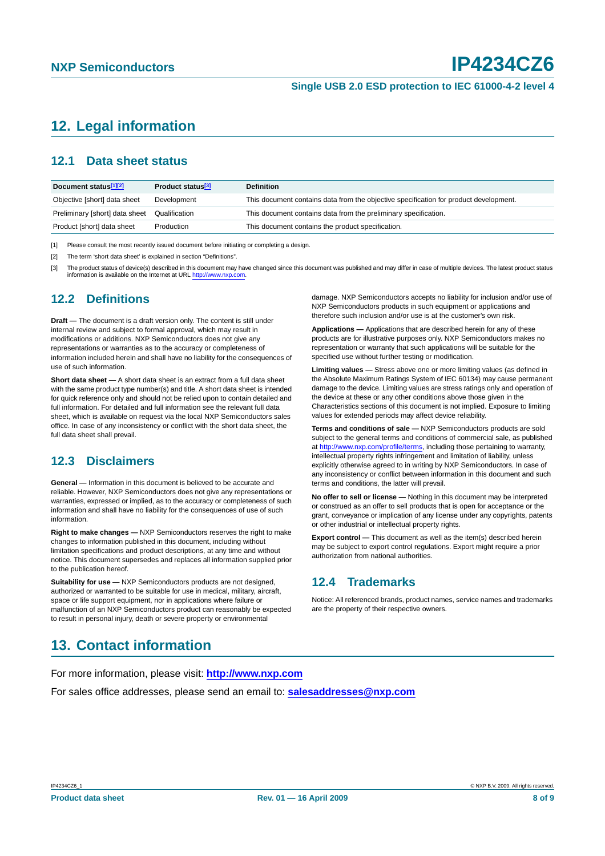# <span id="page-7-0"></span>**12. Legal information**

#### <span id="page-7-1"></span>**12.1 Data sheet status**

| Document status <sup>[1][2]</sup> | Product status <sup>[3]</sup> | <b>Definition</b>                                                                     |
|-----------------------------------|-------------------------------|---------------------------------------------------------------------------------------|
| Objective [short] data sheet      | Development                   | This document contains data from the objective specification for product development. |
| Preliminary [short] data sheet    | Qualification                 | This document contains data from the preliminary specification.                       |
| Product [short] data sheet        | Production                    | This document contains the product specification.                                     |

[1] Please consult the most recently issued document before initiating or completing a design.

[2] The term 'short data sheet' is explained in section "Definitions".

[3] The product status of device(s) described in this document may have changed since this document was published and may differ in case of multiple devices. The latest product status information is available on the Internet at URL <http://www.nxp.com>.

#### <span id="page-7-2"></span>**12.2 Definitions**

**Draft —** The document is a draft version only. The content is still under internal review and subject to formal approval, which may result in modifications or additions. NXP Semiconductors does not give any representations or warranties as to the accuracy or completeness of information included herein and shall have no liability for the consequences of use of such information.

**Short data sheet —** A short data sheet is an extract from a full data sheet with the same product type number(s) and title. A short data sheet is intended for quick reference only and should not be relied upon to contain detailed and full information. For detailed and full information see the relevant full data sheet, which is available on request via the local NXP Semiconductors sales office. In case of any inconsistency or conflict with the short data sheet, the full data sheet shall prevail.

#### <span id="page-7-3"></span>**12.3 Disclaimers**

**General —** Information in this document is believed to be accurate and reliable. However, NXP Semiconductors does not give any representations or warranties, expressed or implied, as to the accuracy or completeness of such information and shall have no liability for the consequences of use of such information.

**Right to make changes —** NXP Semiconductors reserves the right to make changes to information published in this document, including without limitation specifications and product descriptions, at any time and without notice. This document supersedes and replaces all information supplied prior to the publication hereof.

**Suitability for use - NXP** Semiconductors products are not designed, authorized or warranted to be suitable for use in medical, military, aircraft, space or life support equipment, nor in applications where failure or malfunction of an NXP Semiconductors product can reasonably be expected to result in personal injury, death or severe property or environmental

#### damage. NXP Semiconductors accepts no liability for inclusion and/or use of NXP Semiconductors products in such equipment or applications and therefore such inclusion and/or use is at the customer's own risk.

**Applications —** Applications that are described herein for any of these products are for illustrative purposes only. NXP Semiconductors makes no representation or warranty that such applications will be suitable for the specified use without further testing or modification.

**Limiting values —** Stress above one or more limiting values (as defined in the Absolute Maximum Ratings System of IEC 60134) may cause permanent damage to the device. Limiting values are stress ratings only and operation of the device at these or any other conditions above those given in the Characteristics sections of this document is not implied. Exposure to limiting values for extended periods may affect device reliability.

**Terms and conditions of sale —** NXP Semiconductors products are sold subject to the general terms and conditions of commercial sale, as published at <http://www.nxp.com/profile/terms>, including those pertaining to warranty, intellectual property rights infringement and limitation of liability, unless explicitly otherwise agreed to in writing by NXP Semiconductors. In case of any inconsistency or conflict between information in this document and such terms and conditions, the latter will prevail.

**No offer to sell or license —** Nothing in this document may be interpreted or construed as an offer to sell products that is open for acceptance or the grant, conveyance or implication of any license under any copyrights, patents or other industrial or intellectual property rights.

**Export control —** This document as well as the item(s) described herein may be subject to export control regulations. Export might require a prior authorization from national authorities.

#### <span id="page-7-4"></span>**12.4 Trademarks**

Notice: All referenced brands, product names, service names and trademarks are the property of their respective owners.

# <span id="page-7-5"></span>**13. Contact information**

For more information, please visit: **http://www.nxp.com**

For sales office addresses, please send an email to: **salesaddresses@nxp.com**